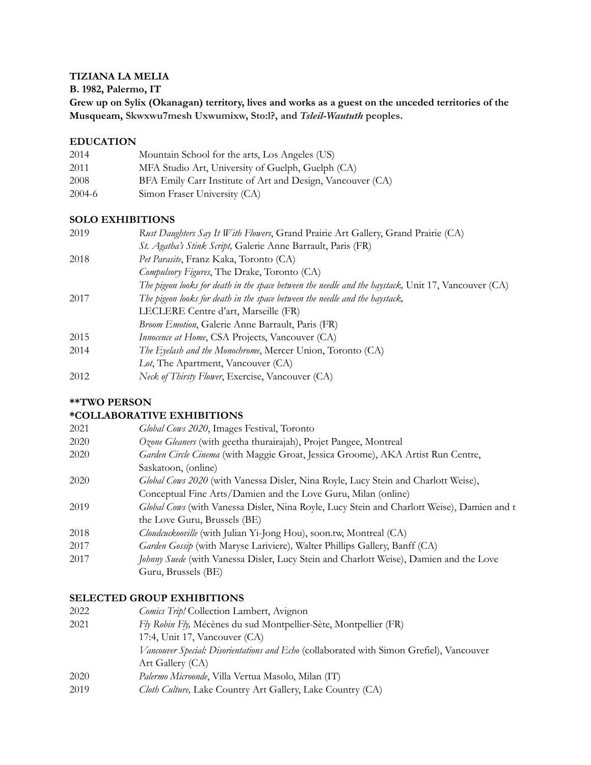### **TIZIANA LA MELIA**

**B. 1982, Palermo, IT**

**Grew up on Sylix (Okanagan) territory, lives and works as a guest on the unceded territories of the Musqueam, Skwxwu7mesh Uxwumixw, Sto:l?, and** *Tsleil***-***Waututh* **peoples.**

#### **EDUCATION**

| 2014   | Mountain School for the arts, Los Angeles (US)             |
|--------|------------------------------------------------------------|
| 2011   | MFA Studio Art, University of Guelph, Guelph (CA)          |
| 2008   | BFA Emily Carr Institute of Art and Design, Vancouver (CA) |
| 2004-6 | Simon Fraser University (CA)                               |

#### **SOLO EXHIBITIONS**

| 2019 | Rust Daughters Say It With Flowers, Grand Prairie Art Gallery, Grand Prairie (CA)                    |
|------|------------------------------------------------------------------------------------------------------|
|      | St. Agatha's Stink Script, Galerie Anne Barrault, Paris (FR)                                         |
| 2018 | Pet Parasite, Franz Kaka, Toronto (CA)                                                               |
|      | Compulsory Figures, The Drake, Toronto (CA)                                                          |
|      | The pigeon looks for death in the space between the needle and the haystack, Unit 17, Vancouver (CA) |
| 2017 | The pigeon looks for death in the space between the needle and the haystack,                         |
|      | LECLERE Centre d'art, Marseille (FR)                                                                 |
|      | Broom Emotion, Galerie Anne Barrault, Paris (FR)                                                     |
| 2015 | <i>Innocence at Home</i> , CSA Projects, Vancouver (CA)                                              |
| 2014 | The Eyelash and the Monochrome, Mercer Union, Toronto (CA)                                           |
|      | Lot, The Apartment, Vancouver (CA)                                                                   |
| 2012 | Neck of Thirsty Flower, Exercise, Vancouver (CA)                                                     |
|      |                                                                                                      |

### **\*\*TWO PERSON**

## **\*COLLABORATIVE EXHIBITIONS**

| 2021 | Global Cows 2020, Images Festival, Toronto                                                 |
|------|--------------------------------------------------------------------------------------------|
| 2020 | Ozone Gleaners (with geetha thurairajah), Projet Pangee, Montreal                          |
| 2020 | Garden Circle Cinema (with Maggie Groat, Jessica Groome), AKA Artist Run Centre,           |
|      | Saskatoon, (online)                                                                        |
| 2020 | Global Cows 2020 (with Vanessa Disler, Nina Royle, Lucy Stein and Charlott Weise),         |
|      | Conceptual Fine Arts/Damien and the Love Guru, Milan (online)                              |
| 2019 | Global Cows (with Vanessa Disler, Nina Royle, Lucy Stein and Charlott Weise), Damien and t |
|      | the Love Guru, Brussels (BE)                                                               |
| 2018 | Cloudcuckooville (with Julian Yi-Jong Hou), soon.tw, Montreal (CA)                         |
| 2017 | Garden Gossip (with Maryse Lariviere), Walter Phillips Gallery, Banff (CA)                 |
| 2017 | Johnny Suede (with Vanessa Disler, Lucy Stein and Charlott Weise), Damien and the Love     |
|      | Guru, Brussels (BE)                                                                        |
|      |                                                                                            |

### **SELECTED GROUP EXHIBITIONS**

| 2022 | Comics Trip! Collection Lambert, Avignon                                                 |
|------|------------------------------------------------------------------------------------------|
| 2021 | Fly Robin Fly, Mécènes du sud Montpellier-Sète, Montpellier (FR)                         |
|      | 17:4, Unit 17, Vancouver (CA)                                                            |
|      | Vancouver Special: Disorientations and Echo (collaborated with Simon Grefiel), Vancouver |
|      | Art Gallery (CA)                                                                         |
| 2020 | <i>Palermo Microonde</i> , Villa Vertua Masolo, Milan (IT)                               |
| 2019 | Cloth Culture, Lake Country Art Gallery, Lake Country (CA)                               |
|      |                                                                                          |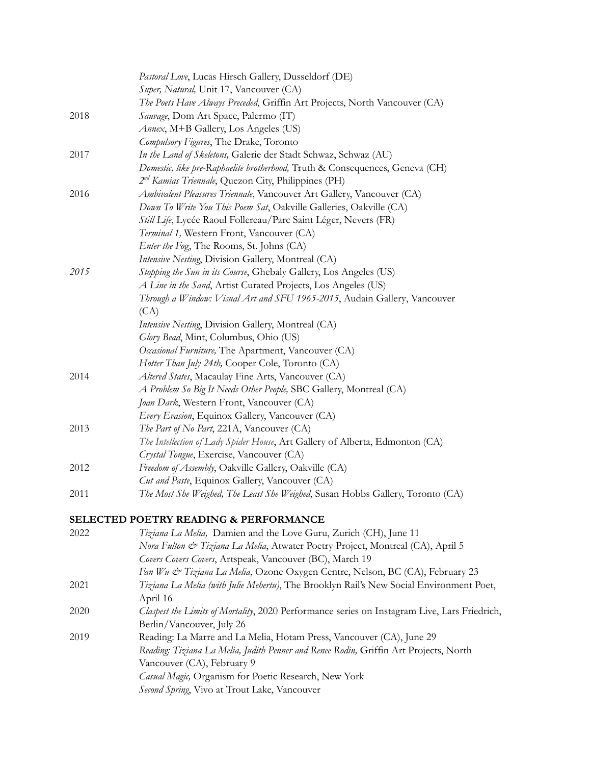|      | Pastoral Love, Lucas Hirsch Gallery, Dusseldorf (DE)                                         |
|------|----------------------------------------------------------------------------------------------|
|      | Super, Natural, Unit 17, Vancouver (CA)                                                      |
|      | The Poets Have Always Preceded, Griffin Art Projects, North Vancouver (CA)                   |
| 2018 | Sauvage, Dom Art Space, Palermo (IT)                                                         |
|      | Annex, M+B Gallery, Los Angeles (US)                                                         |
|      | Compulsory Figures, The Drake, Toronto                                                       |
| 2017 | In the Land of Skeletons, Galerie der Stadt Schwaz, Schwaz (AU)                              |
|      | Domestic, like pre-Raphaelite brotherhood, Truth & Consequences, Geneva (CH)                 |
|      | 2 <sup>nd</sup> Kamias Triennale, Quezon City, Philippines (PH)                              |
| 2016 | Ambivalent Pleasures Triennale, Vancouver Art Gallery, Vancouver (CA)                        |
|      | Down To Write You This Poem Sat, Oakville Galleries, Oakville (CA)                           |
|      | Still Life, Lycée Raoul Follereau/Parc Saint Léger, Nevers (FR)                              |
|      | Terminal 1, Western Front, Vancouver (CA)                                                    |
|      | <i>Enter the Fog, The Rooms, St. Johns (CA)</i>                                              |
|      | Intensive Nesting, Division Gallery, Montreal (CA)                                           |
| 2015 | Stopping the Sun in its Course, Ghebaly Gallery, Los Angeles (US)                            |
|      | A Line in the Sand, Artist Curated Projects, Los Angeles (US)                                |
|      | Through a Window: Visual Art and SFU 1965-2015, Audain Gallery, Vancouver                    |
|      | (CA)                                                                                         |
|      | Intensive Nesting, Division Gallery, Montreal (CA)                                           |
|      | Glory Bead, Mint, Columbus, Ohio (US)                                                        |
|      |                                                                                              |
|      | Occasional Furniture, The Apartment, Vancouver (CA)                                          |
|      | Hotter Than July 24th, Cooper Cole, Toronto (CA)                                             |
| 2014 | Altered States, Macaulay Fine Arts, Vancouver (CA)                                           |
|      | A Problem So Big It Needs Other People, SBC Gallery, Montreal (CA)                           |
|      | Joan Dark, Western Front, Vancouver (CA)                                                     |
|      | Every Evasion, Equinox Gallery, Vancouver (CA)                                               |
| 2013 | The Part of No Part, 221A, Vancouver (CA)                                                    |
|      | The Intellection of Lady Spider House, Art Gallery of Alberta, Edmonton (CA)                 |
|      | Crystal Tongue, Exercise, Vancouver (CA)                                                     |
| 2012 | Freedom of Assembly, Oakville Gallery, Oakville (CA)                                         |
|      | Cut and Paste, Equinox Gallery, Vancouver (CA)                                               |
| 2011 | The Most She Weighed, The Least She Weighed, Susan Hobbs Gallery, Toronto (CA)               |
|      | SELECTED POETRY READING & PERFORMANCE                                                        |
| 2022 | Tiziana La Melia, Damien and the Love Guru, Zurich (CH), June 11                             |
|      | Nora Fulton & Tiziana La Melia, Atwater Poetry Project, Montreal (CA), April 5               |
|      | Covers Covers Covers, Artspeak, Vancouver (BC), March 19                                     |
|      | Fan Wu & Tiziana La Melia, Ozone Oxygen Centre, Nelson, BC (CA), February 23                 |
| 2021 | Tiziana La Melia (with Julie Mehertu), The Brooklyn Rail's New Social Environment Poet,      |
|      | April 16                                                                                     |
| 2020 | Claspest the Limits of Mortality, 2020 Performance series on Instagram Live, Lars Friedrich, |
|      | Berlin/Vancouver, July 26                                                                    |
| 2019 | Reading: La Marre and La Melia, Hotam Press, Vancouver (CA), June 29                         |
|      | Reading: Tiziana La Melia, Judith Penner and Renee Rodin, Griffin Art Projects, North        |
|      | Vancouver (CA), February 9                                                                   |
|      | Casual Magic, Organism for Poetic Research, New York                                         |
|      |                                                                                              |

*Second Spring*, Vivo at Trout Lake, Vancouver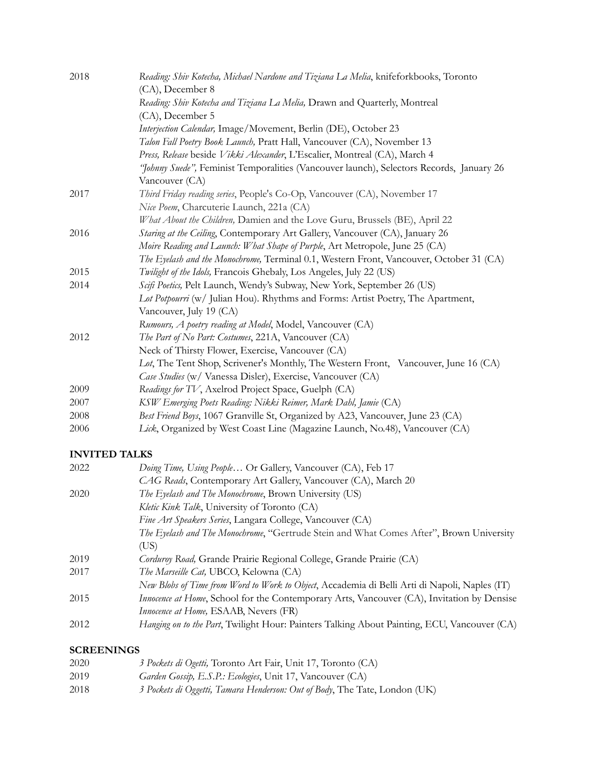| 2018 | Reading: Shiv Kotecha, Michael Nardone and Tiziana La Melia, knifeforkbooks, Toronto     |
|------|------------------------------------------------------------------------------------------|
|      | (CA), December 8                                                                         |
|      | Reading: Shiv Kotecha and Tiziana La Melia, Drawn and Quarterly, Montreal                |
|      | (CA), December 5                                                                         |
|      | Interjection Calendar, Image/Movement, Berlin (DE), October 23                           |
|      | Talon Fall Poetry Book Launch, Pratt Hall, Vancouver (CA), November 13                   |
|      | Press, Release beside Vikki Alexander, L'Escalier, Montreal (CA), March 4                |
|      | "Johnny Suede", Feminist Temporalities (Vancouver launch), Selectors Records, January 26 |
|      | Vancouver (CA)                                                                           |
| 2017 | Third Friday reading series, People's Co-Op, Vancouver (CA), November 17                 |
|      | Nice Poem, Charcuterie Launch, 221a (CA)                                                 |
|      | What About the Children, Damien and the Love Guru, Brussels (BE), April 22               |
| 2016 | Staring at the Ceiling, Contemporary Art Gallery, Vancouver (CA), January 26             |
|      | Moire Reading and Launch: What Shape of Purple, Art Metropole, June 25 (CA)              |
|      | The Eyelash and the Monochrome, Terminal 0.1, Western Front, Vancouver, October 31 (CA)  |
| 2015 | Twilight of the Idols, Francois Ghebaly, Los Angeles, July 22 (US)                       |
| 2014 | Scifi Poetics, Pelt Launch, Wendy's Subway, New York, September 26 (US)                  |
|      | Lot Potpourri (w/ Julian Hou). Rhythms and Forms: Artist Poetry, The Apartment,          |
|      | Vancouver, July 19 (CA)                                                                  |
|      | Rumours, A poetry reading at Model, Model, Vancouver (CA)                                |
| 2012 | The Part of No Part: Costumes, 221A, Vancouver (CA)                                      |
|      | Neck of Thirsty Flower, Exercise, Vancouver (CA)                                         |
|      | Lot, The Tent Shop, Scrivener's Monthly, The Western Front, Vancouver, June 16 (CA)      |
|      | Case Studies (w/ Vanessa Disler), Exercise, Vancouver (CA)                               |
| 2009 | Readings for TV, Axelrod Project Space, Guelph (CA)                                      |
| 2007 | KSW Emerging Poets Reading: Nikki Reimer, Mark Dahl, Jamie (CA)                          |
| 2008 | Best Friend Boys, 1067 Granville St, Organized by A23, Vancouver, June 23 (CA)           |
| 2006 | Lick, Organized by West Coast Line (Magazine Launch, No.48), Vancouver (CA)              |

# **INVITED TALKS**

| 2022 | Doing Time, Using People Or Gallery, Vancouver (CA), Feb 17                                   |
|------|-----------------------------------------------------------------------------------------------|
|      | CAG Reads, Contemporary Art Gallery, Vancouver (CA), March 20                                 |
| 2020 | The Eyelash and The Monochrome, Brown University (US)                                         |
|      | Kletic Kink Talk, University of Toronto (CA)                                                  |
|      | Fine Art Speakers Series, Langara College, Vancouver (CA)                                     |
|      | The Eyelash and The Monochrome, "Gertrude Stein and What Comes After", Brown University       |
|      | (US)                                                                                          |
| 2019 | Corduroy Road, Grande Prairie Regional College, Grande Prairie (CA)                           |
| 2017 | The Marseille Cat, UBCO, Kelowna (CA)                                                         |
|      | New Blobs of Time from Word to Work to Object, Accademia di Belli Arti di Napoli, Naples (IT) |
| 2015 | Innocence at Home, School for the Contemporary Arts, Vancouver (CA), Invitation by Densise    |
|      | <i>Innocence at Home</i> , ESAAB, Nevers (FR)                                                 |
| 2012 | Hanging on to the Part, Twilight Hour: Painters Talking About Painting, ECU, Vancouver (CA)   |
|      |                                                                                               |

## **SCREENINGS**

| 2020 | 3 Pockets di Ogetti, Toronto Art Fair, Unit 17, Toronto (CA)               |
|------|----------------------------------------------------------------------------|
| 2019 | Garden Gossip, E.S.P.: Ecologies, Unit 17, Vancouver (CA)                  |
| 2018 | 3 Pockets di Oggetti, Tamara Henderson: Out of Body, The Tate, London (UK) |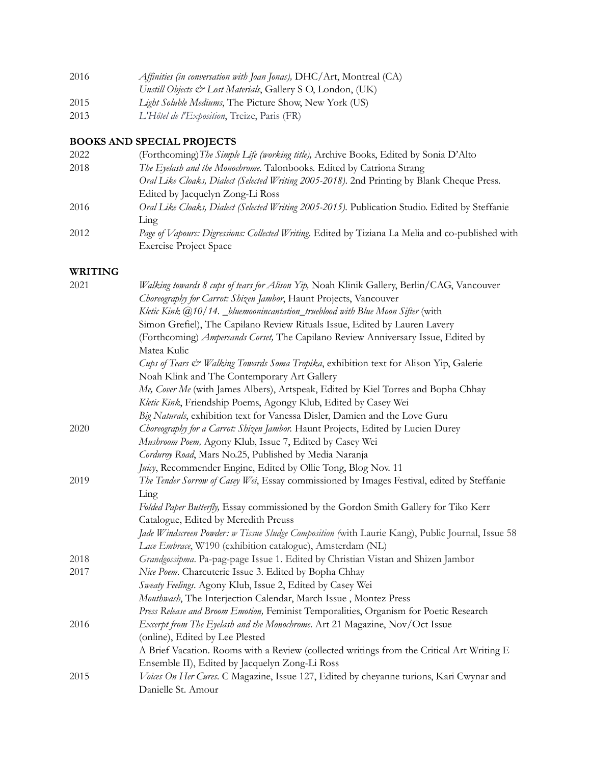| 2016 | Affinities (in conversation with Joan Jonas), $DHC/Art$ , Montreal (CA) |
|------|-------------------------------------------------------------------------|
|      | Unstill Objects & Lost Materials, Gallery S O, London, (UK)             |
| 2015 | Light Soluble Mediums, The Picture Show, New York (US)                  |
| 2013 | L'Hôtel de l'Exposition, Treize, Paris (FR)                             |

# **BOOKS AND SPECIAL PROJECTS**

| 2022 | (Forthcoming) The Simple Life (working title), Archive Books, Edited by Sonia D'Alto              |
|------|---------------------------------------------------------------------------------------------------|
| 2018 | The Eyelash and the Monochrome. Talonbooks. Edited by Catriona Strang                             |
|      | Oral Like Cloaks, Dialect (Selected Writing 2005-2018). 2nd Printing by Blank Cheque Press.       |
|      | Edited by Jacquelyn Zong-Li Ross                                                                  |
| 2016 | Oral Like Cloaks, Dialect (Selected Writing 2005-2015). Publication Studio. Edited by Steffanie   |
|      | Lıng                                                                                              |
| 2012 | Page of Vapours: Digressions: Collected Writing. Edited by Tiziana La Melia and co-published with |
|      | <b>Exercise Project Space</b>                                                                     |
|      |                                                                                                   |

## **WRITING**

| 2021 | Walking towards 8 cups of tears for Alison Yip, Noah Klinik Gallery, Berlin/CAG, Vancouver       |
|------|--------------------------------------------------------------------------------------------------|
|      | Choreography for Carrot: Shizen Jambor, Haunt Projects, Vancouver                                |
|      | Kletic Kink @10/14. _bluemoonincantation_trueblood with Blue Moon Sifter (with                   |
|      | Simon Grefiel), The Capilano Review Rituals Issue, Edited by Lauren Lavery                       |
|      | (Forthcoming) Ampersands Corset, The Capilano Review Anniversary Issue, Edited by                |
|      | Matea Kulic                                                                                      |
|      | Cups of Tears & Walking Towards Soma Tropika, exhibition text for Alison Yip, Galerie            |
|      | Noah Klink and The Contemporary Art Gallery                                                      |
|      | Me, Cover Me (with James Albers), Artspeak, Edited by Kiel Torres and Bopha Chhay                |
|      | Kletic Kink, Friendship Poems, Agongy Klub, Edited by Casey Wei                                  |
|      | Big Naturals, exhibition text for Vanessa Disler, Damien and the Love Guru                       |
| 2020 | Choreography for a Carrot: Shizen Jambor. Haunt Projects, Edited by Lucien Durey                 |
|      | Mushroom Poem, Agony Klub, Issue 7, Edited by Casey Wei                                          |
|      | Corduroy Road, Mars No.25, Published by Media Naranja                                            |
|      | Juicy, Recommender Engine, Edited by Ollie Tong, Blog Nov. 11                                    |
| 2019 | The Tender Sorrow of Casey Wei, Essay commissioned by Images Festival, edited by Steffanie       |
|      | Ling                                                                                             |
|      | Folded Paper Butterfly, Essay commissioned by the Gordon Smith Gallery for Tiko Kerr             |
|      | Catalogue, Edited by Meredith Preuss                                                             |
|      | Jade Windscreen Powder: w Tissue Sludge Composition (with Laurie Kang), Public Journal, Issue 58 |
|      | Lace Embrace, W190 (exhibition catalogue), Amsterdam (NL)                                        |
| 2018 | Grandgossipma. Pa-pag-page Issue 1. Edited by Christian Vistan and Shizen Jambor                 |
| 2017 | Nice Poem. Charcuterie Issue 3. Edited by Bopha Chhay                                            |
|      | Sweaty Feelings. Agony Klub, Issue 2, Edited by Casey Wei                                        |
|      | Mouthwash, The Interjection Calendar, March Issue, Montez Press                                  |
|      | Press Release and Broom Emotion, Feminist Temporalities, Organism for Poetic Research            |
| 2016 | Excerpt from The Eyelash and the Monochrome. Art 21 Magazine, Nov/Oct Issue                      |
|      | (online), Edited by Lee Plested                                                                  |
|      | A Brief Vacation. Rooms with a Review (collected writings from the Critical Art Writing E        |
|      | Ensemble II), Edited by Jacquelyn Zong-Li Ross                                                   |
| 2015 | Voices On Her Cures. C Magazine, Issue 127, Edited by cheyanne turions, Kari Cwynar and          |
|      | Danielle St. Amour                                                                               |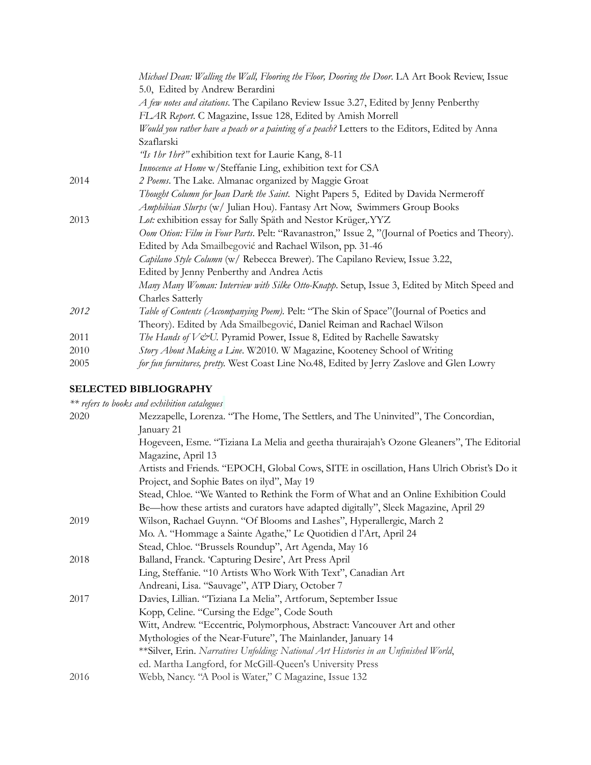|      | Michael Dean: Walling the Wall, Flooring the Floor, Dooring the Door. LA Art Book Review, Issue |
|------|-------------------------------------------------------------------------------------------------|
|      | 5.0, Edited by Andrew Berardini                                                                 |
|      | A few notes and citations. The Capilano Review Issue 3.27, Edited by Jenny Penberthy            |
|      | FLAR Report. C Magazine, Issue 128, Edited by Amish Morrell                                     |
|      | Would you rather have a peach or a painting of a peach? Letters to the Editors, Edited by Anna  |
|      | Szaflarski                                                                                      |
|      | "Is 1 hr 1 hr?" exhibition text for Laurie Kang, 8-11                                           |
|      | Innocence at Home w/Steffanie Ling, exhibition text for CSA                                     |
| 2014 | 2 Poems. The Lake. Almanac organized by Maggie Groat                                            |
|      | Thought Column for Joan Dark the Saint. Night Papers 5, Edited by Davida Nermeroff              |
|      | Amphibian Slurps (w/ Julian Hou). Fantasy Art Now, Swimmers Group Books                         |
| 2013 | Lot: exhibition essay for Sally Späth and Nestor Krüger, YYZ                                    |
|      | Oom Otion: Film in Four Parts. Pelt: "Ravanastron," Issue 2, "(Journal of Poetics and Theory).  |
|      | Edited by Ada Smailbegović and Rachael Wilson, pp. 31-46                                        |
|      | Capilano Style Column (w/ Rebecca Brewer). The Capilano Review, Issue 3.22,                     |
|      | Edited by Jenny Penberthy and Andrea Actis                                                      |
|      | Many Many Woman: Interview with Silke Otto-Knapp. Setup, Issue 3, Edited by Mitch Speed and     |
|      | Charles Satterly                                                                                |
| 2012 | Table of Contents (Accompanying Poem). Pelt: "The Skin of Space" (Journal of Poetics and        |
|      | Theory). Edited by Ada Smailbegović, Daniel Reiman and Rachael Wilson                           |
| 2011 | The Hands of V&U. Pyramid Power, Issue 8, Edited by Rachelle Sawatsky                           |
| 2010 | Story About Making a Line. W2010. W Magazine, Kooteney School of Writing                        |
| 2005 | for fun furnitures, pretty. West Coast Line No.48, Edited by Jerry Zaslove and Glen Lowry       |

## **SELECTED BIBLIOGRAPHY**

|      | ** refers to books and exhibition catalogues                                              |
|------|-------------------------------------------------------------------------------------------|
| 2020 | Mezzapelle, Lorenza. "The Home, The Settlers, and The Uninvited", The Concordian,         |
|      | January 21                                                                                |
|      | Hogeveen, Esme. "Tiziana La Melia and geetha thurairajah's Ozone Gleaners", The Editorial |
|      | Magazine, April 13                                                                        |
|      | Artists and Friends. "EPOCH, Global Cows, SITE in oscillation, Hans Ulrich Obrist's Do it |
|      | Project, and Sophie Bates on ilyd", May 19                                                |
|      | Stead, Chloe. "We Wanted to Rethink the Form of What and an Online Exhibition Could       |
|      | Be-how these artists and curators have adapted digitally", Sleek Magazine, April 29       |
| 2019 | Wilson, Rachael Guynn. "Of Blooms and Lashes", Hyperallergic, March 2                     |
|      | Mo. A. "Hommage a Sainte Agathe," Le Quotidien d l'Art, April 24                          |
|      | Stead, Chloe. "Brussels Roundup", Art Agenda, May 16                                      |
| 2018 | Balland, Franck. 'Capturing Desire', Art Press April                                      |
|      | Ling, Steffanie. "10 Artists Who Work With Text", Canadian Art                            |
|      | Andreani, Lisa. "Sauvage", ATP Diary, October 7                                           |
| 2017 | Davies, Lillian. "Tiziana La Melia", Artforum, September Issue                            |
|      | Kopp, Celine. "Cursing the Edge", Code South                                              |
|      | Witt, Andrew. "Eccentric, Polymorphous, Abstract: Vancouver Art and other                 |
|      | Mythologies of the Near-Future", The Mainlander, January 14                               |
|      | **Silver, Erin. Narratives Unfolding: National Art Histories in an Unfinished World,      |
|      | ed. Martha Langford, for McGill-Queen's University Press                                  |
| 2016 | Webb, Nancy. "A Pool is Water," C Magazine, Issue 132                                     |
|      |                                                                                           |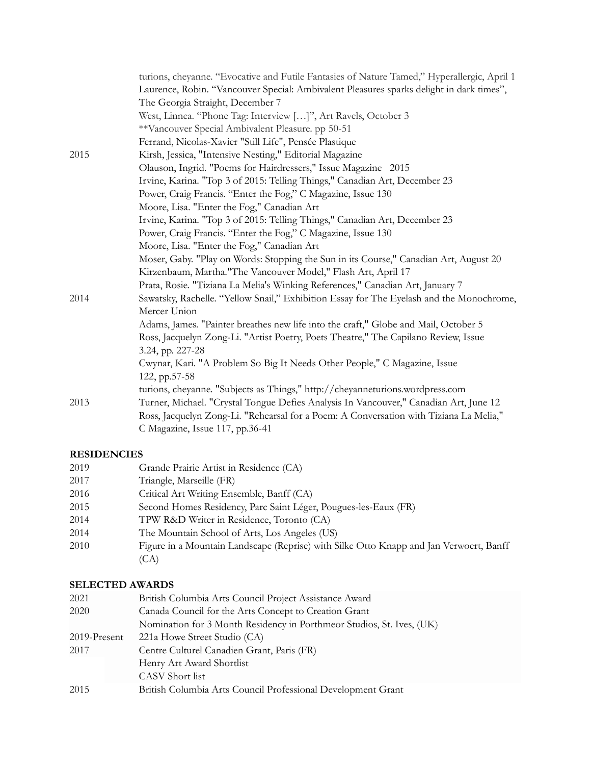|      | turions, cheyanne. "Evocative and Futile Fantasies of Nature Tamed," Hyperallergic, April 1 |
|------|---------------------------------------------------------------------------------------------|
|      | Laurence, Robin. "Vancouver Special: Ambivalent Pleasures sparks delight in dark times",    |
|      | The Georgia Straight, December 7                                                            |
|      | West, Linnea. "Phone Tag: Interview []", Art Ravels, October 3                              |
|      | **Vancouver Special Ambivalent Pleasure. pp 50-51                                           |
|      | Ferrand, Nicolas-Xavier "Still Life", Pensée Plastique                                      |
| 2015 | Kirsh, Jessica, "Intensive Nesting," Editorial Magazine                                     |
|      | Olauson, Ingrid. "Poems for Hairdressers," Issue Magazine 2015                              |
|      | Irvine, Karina. "Top 3 of 2015: Telling Things," Canadian Art, December 23                  |
|      | Power, Craig Francis. "Enter the Fog," C Magazine, Issue 130                                |
|      | Moore, Lisa. "Enter the Fog," Canadian Art                                                  |
|      | Irvine, Karina. "Top 3 of 2015: Telling Things," Canadian Art, December 23                  |
|      | Power, Craig Francis. "Enter the Fog," C Magazine, Issue 130                                |
|      | Moore, Lisa. "Enter the Fog," Canadian Art                                                  |
|      | Moser, Gaby. "Play on Words: Stopping the Sun in its Course," Canadian Art, August 20       |
|      | Kirzenbaum, Martha."The Vancouver Model," Flash Art, April 17                               |
|      | Prata, Rosie. "Tiziana La Melia's Winking References," Canadian Art, January 7              |
| 2014 | Sawatsky, Rachelle. "Yellow Snail," Exhibition Essay for The Eyelash and the Monochrome,    |
|      | Mercer Union                                                                                |
|      | Adams, James. "Painter breathes new life into the craft," Globe and Mail, October 5         |
|      | Ross, Jacquelyn Zong-Li. "Artist Poetry, Poets Theatre," The Capilano Review, Issue         |
|      | 3.24, pp. 227-28                                                                            |
|      | Cwynar, Kari. "A Problem So Big It Needs Other People," C Magazine, Issue                   |
|      | 122, pp.57-58                                                                               |
|      | turions, cheyanne. "Subjects as Things," http://cheyanneturions.wordpress.com               |
| 2013 | Turner, Michael. "Crystal Tongue Defies Analysis In Vancouver," Canadian Art, June 12       |
|      | Ross, Jacquelyn Zong-Li. "Rehearsal for a Poem: A Conversation with Tiziana La Melia,"      |
|      | C Magazine, Issue 117, pp.36-41                                                             |

## **RESIDENCIES**

| 2019 | Grande Prairie Artist in Residence (CA)                                                |
|------|----------------------------------------------------------------------------------------|
| 2017 | Triangle, Marseille (FR)                                                               |
| 2016 | Critical Art Writing Ensemble, Banff (CA)                                              |
| 2015 | Second Homes Residency, Parc Saint Léger, Pougues-les-Eaux (FR)                        |
| 2014 | TPW R&D Writer in Residence, Toronto (CA)                                              |
| 2014 | The Mountain School of Arts, Los Angeles (US)                                          |
| 2010 | Figure in a Mountain Landscape (Reprise) with Silke Otto Knapp and Jan Verwoert, Banff |
|      | (CA)                                                                                   |
|      |                                                                                        |

## **SELECTED AWARDS**

| 2021         | British Columbia Arts Council Project Assistance Award                |
|--------------|-----------------------------------------------------------------------|
| 2020         | Canada Council for the Arts Concept to Creation Grant                 |
|              | Nomination for 3 Month Residency in Porthmeor Studios, St. Ives, (UK) |
| 2019-Present | 221a Howe Street Studio (CA)                                          |
| 2017         | Centre Culturel Canadien Grant, Paris (FR)                            |
|              | Henry Art Award Shortlist                                             |
|              | CASV Short list                                                       |
| 2015         | British Columbia Arts Council Professional Development Grant          |